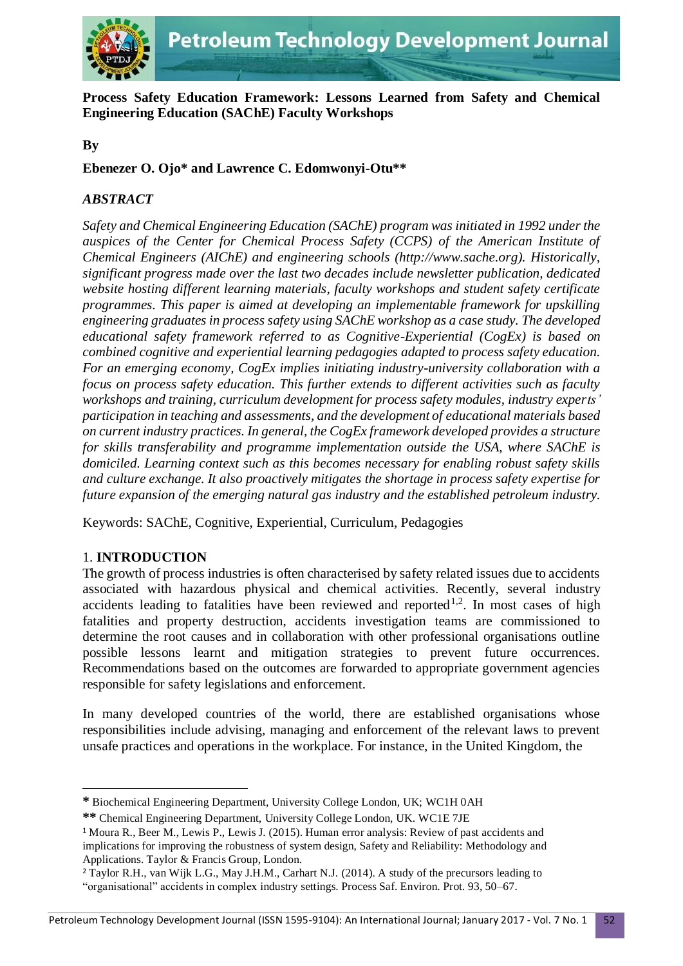

**Process Safety Education Framework: Lessons Learned from Safety and Chemical Engineering Education (SAChE) Faculty Workshops**

## **By**

**Ebenezer O. Ojo\* and Lawrence C. Edomwonyi-Otu\*\***

## *ABSTRACT*

*Safety and Chemical Engineering Education (SAChE) program was initiated in 1992 under the auspices of the Center for Chemical Process Safety (CCPS) of the American Institute of Chemical Engineers (AIChE) and engineering schools (http://www.sache.org). Historically, significant progress made over the last two decades include newsletter publication, dedicated website hosting different learning materials, faculty workshops and student safety certificate programmes. This paper is aimed at developing an implementable framework for upskilling engineering graduates in process safety using SAChE workshop as a case study. The developed educational safety framework referred to as Cognitive-Experiential (CogEx) is based on combined cognitive and experiential learning pedagogies adapted to process safety education. For an emerging economy, CogEx implies initiating industry-university collaboration with a focus on process safety education. This further extends to different activities such as faculty workshops and training, curriculum development for process safety modules, industry experts' participation in teaching and assessments, and the development of educational materials based on current industry practices. In general, the CogEx framework developed provides a structure for skills transferability and programme implementation outside the USA, where SAChE is domiciled. Learning context such as this becomes necessary for enabling robust safety skills and culture exchange. It also proactively mitigates the shortage in process safety expertise for future expansion of the emerging natural gas industry and the established petroleum industry.*

Keywords: SAChE, Cognitive, Experiential, Curriculum, Pedagogies

# 1. **INTRODUCTION**

**.** 

The growth of process industries is often characterised by safety related issues due to accidents associated with hazardous physical and chemical activities. Recently, several industry accidents leading to fatalities have been reviewed and reported<sup>1,2</sup>. In most cases of high fatalities and property destruction, accidents investigation teams are commissioned to determine the root causes and in collaboration with other professional organisations outline possible lessons learnt and mitigation strategies to prevent future occurrences. Recommendations based on the outcomes are forwarded to appropriate government agencies responsible for safety legislations and enforcement.

In many developed countries of the world, there are established organisations whose responsibilities include advising, managing and enforcement of the relevant laws to prevent unsafe practices and operations in the workplace. For instance, in the United Kingdom, the

**<sup>\*</sup>** Biochemical Engineering Department, University College London, UK; WC1H 0AH

**<sup>\*\*</sup>** Chemical Engineering Department, University College London, UK. WC1E 7JE

<sup>1</sup> Moura R., Beer M., Lewis P., Lewis J. (2015). Human error analysis: Review of past accidents and implications for improving the robustness of system design, Safety and Reliability: Methodology and Applications. Taylor & Francis Group, London.

<sup>2</sup> Taylor R.H., van Wijk L.G., May J.H.M., Carhart N.J. (2014). A study of the precursors leading to

<sup>&</sup>quot;organisational" accidents in complex industry settings. Process Saf. Environ. Prot. 93, 50–67.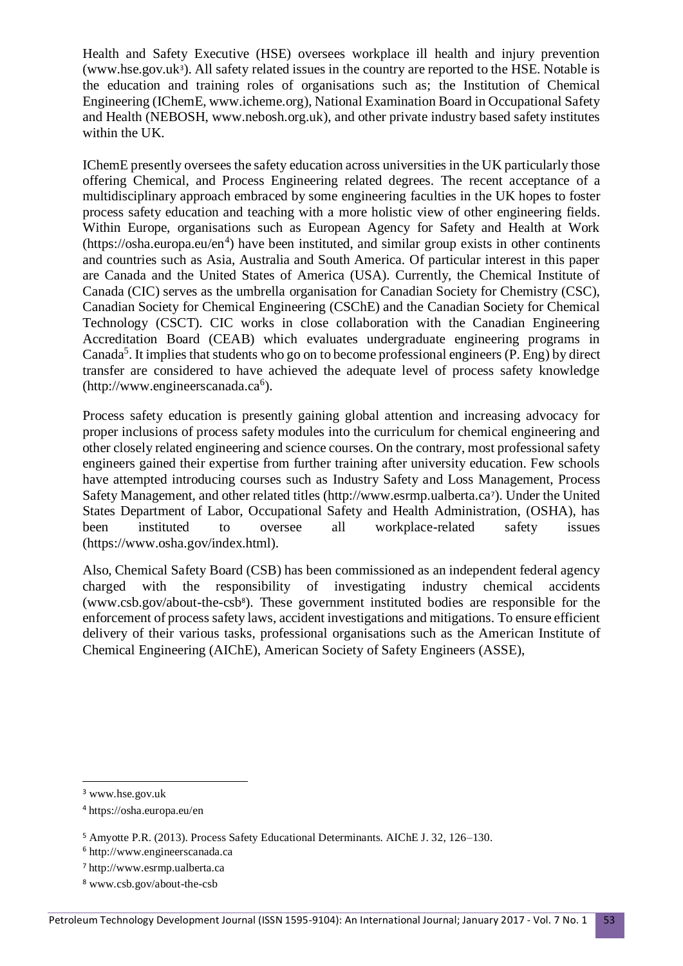Health and Safety Executive (HSE) oversees workplace ill health and injury prevention (www.hse.gov.uk<sup>3</sup>). All safety related issues in the country are reported to the HSE. Notable is the education and training roles of organisations such as; the Institution of Chemical Engineering (IChemE, www.icheme.org), National Examination Board in Occupational Safety and Health (NEBOSH, www.nebosh.org.uk), and other private industry based safety institutes within the UK.

IChemE presently oversees the safety education across universities in the UK particularly those offering Chemical, and Process Engineering related degrees. The recent acceptance of a multidisciplinary approach embraced by some engineering faculties in the UK hopes to foster process safety education and teaching with a more holistic view of other engineering fields. Within Europe, organisations such as European Agency for Safety and Health at Work  $(\text{https://osha.europa.eu/en<sup>4</sup>)}$  have been instituted, and similar group exists in other continents and countries such as Asia, Australia and South America. Of particular interest in this paper are Canada and the United States of America (USA). Currently, the Chemical Institute of Canada (CIC) serves as the umbrella organisation for Canadian Society for Chemistry (CSC), Canadian Society for Chemical Engineering (CSChE) and the Canadian Society for Chemical Technology (CSCT). CIC works in close collaboration with the Canadian Engineering Accreditation Board (CEAB) which evaluates undergraduate engineering programs in Canada<sup>5</sup>. It implies that students who go on to become professional engineers (P. Eng) by direct transfer are considered to have achieved the adequate level of process safety knowledge (http://www.engineerscanada.ca<sup>6</sup>).

Process safety education is presently gaining global attention and increasing advocacy for proper inclusions of process safety modules into the curriculum for chemical engineering and other closely related engineering and science courses. On the contrary, most professional safety engineers gained their expertise from further training after university education. Few schools have attempted introducing courses such as Industry Safety and Loss Management, Process Safety Management, and other related titles (http://www.esrmp.ualberta.ca<sup>7</sup>). Under the United States Department of Labor, Occupational Safety and Health Administration, (OSHA), has been instituted to oversee all workplace-related safety issues [\(https://www.osha.gov/index.html\)](https://www.osha.gov/index.html).

Also, Chemical Safety Board (CSB) has been commissioned as an independent federal agency charged with the responsibility of investigating industry chemical accidents [\(www.csb.gov/about-the-csb](http://www.csb.gov/about-the-csb)<sup>8</sup>). These government instituted bodies are responsible for the enforcement of process safety laws, accident investigations and mitigations. To ensure efficient delivery of their various tasks, professional organisations such as the American Institute of Chemical Engineering (AIChE), American Society of Safety Engineers (ASSE),

**.** 

<sup>3</sup> www.hse.gov.uk

<sup>4</sup> https://osha.europa.eu/en

<sup>5</sup> Amyotte P.R. (2013). Process Safety Educational Determinants. AIChE J. 32, 126–130.

<sup>6</sup> http://www.engineerscanada.ca

<sup>7</sup> http://www.esrmp.ualberta.ca

<sup>8</sup> [www.csb.gov/about-the-csb](http://www.csb.gov/about-the-csb)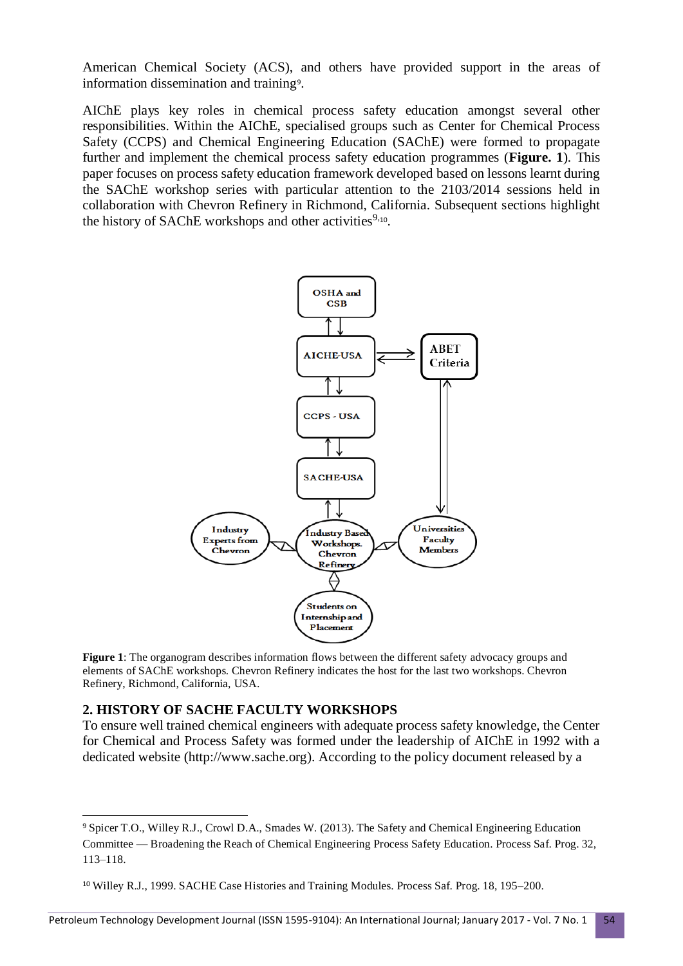American Chemical Society (ACS), and others have provided support in the areas of information dissemination and training<sup>9</sup> .

AIChE plays key roles in chemical process safety education amongst several other responsibilities. Within the AIChE, specialised groups such as Center for Chemical Process Safety (CCPS) and Chemical Engineering Education (SAChE) were formed to propagate further and implement the chemical process safety education programmes (**Figure. 1**). This paper focuses on process safety education framework developed based on lessons learnt during the SAChE workshop series with particular attention to the 2103/2014 sessions held in collaboration with Chevron Refinery in Richmond, California. Subsequent sections highlight the history of SAChE workshops and other activities<sup>9,10</sup>.



**Figure 1**: The organogram describes information flows between the different safety advocacy groups and elements of SAChE workshops. Chevron Refinery indicates the host for the last two workshops. Chevron Refinery, Richmond, California, USA.

### **2. HISTORY OF SACHE FACULTY WORKSHOPS**

1

To ensure well trained chemical engineers with adequate process safety knowledge, the Center for Chemical and Process Safety was formed under the leadership of AIChE in 1992 with a dedicated website (http://www.sache.org). According to the policy document released by a

<sup>9</sup> Spicer T.O., Willey R.J., Crowl D.A., Smades W. (2013). The Safety and Chemical Engineering Education Committee — Broadening the Reach of Chemical Engineering Process Safety Education. Process Saf. Prog. 32, 113–118.

<sup>10</sup> Willey R.J., 1999. SACHE Case Histories and Training Modules. Process Saf. Prog. 18, 195–200.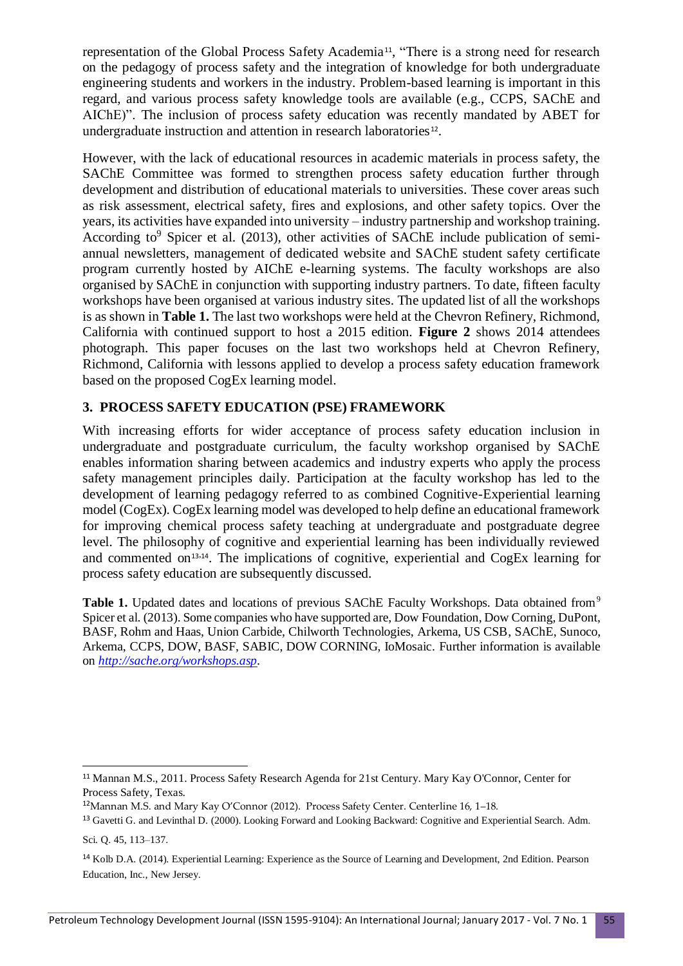representation of the Global Process Safety Academia<sup>11</sup>, "There is a strong need for research on the pedagogy of process safety and the integration of knowledge for both undergraduate engineering students and workers in the industry. Problem-based learning is important in this regard, and various process safety knowledge tools are available (e.g., CCPS, SAChE and AIChE)". The inclusion of process safety education was recently mandated by ABET for undergraduate instruction and attention in research laboratories<sup>12</sup>.

However, with the lack of educational resources in academic materials in process safety, the SAChE Committee was formed to strengthen process safety education further through development and distribution of educational materials to universities. These cover areas such as risk assessment, electrical safety, fires and explosions, and other safety topics. Over the years, its activities have expanded into university – industry partnership and workshop training. According to<sup>9</sup> Spicer et al. (2013), other activities of SAChE include publication of semiannual newsletters, management of dedicated website and SAChE student safety certificate program currently hosted by AIChE e-learning systems. The faculty workshops are also organised by SAChE in conjunction with supporting industry partners. To date, fifteen faculty workshops have been organised at various industry sites. The updated list of all the workshops is as shown in **Table 1.** The last two workshops were held at the Chevron Refinery, Richmond, California with continued support to host a 2015 edition. **Figure 2** shows 2014 attendees photograph. This paper focuses on the last two workshops held at Chevron Refinery, Richmond, California with lessons applied to develop a process safety education framework based on the proposed CogEx learning model.

## **3. PROCESS SAFETY EDUCATION (PSE) FRAMEWORK**

With increasing efforts for wider acceptance of process safety education inclusion in undergraduate and postgraduate curriculum, the faculty workshop organised by SAChE enables information sharing between academics and industry experts who apply the process safety management principles daily. Participation at the faculty workshop has led to the development of learning pedagogy referred to as combined Cognitive-Experiential learning model (CogEx). CogEx learning model was developed to help define an educational framework for improving chemical process safety teaching at undergraduate and postgraduate degree level. The philosophy of cognitive and experiential learning has been individually reviewed and commented on<sup>13,14</sup>. The implications of cognitive, experiential and CogEx learning for process safety education are subsequently discussed.

Table 1. Updated dates and locations of previous SAChE Faculty Workshops. Data obtained from<sup>9</sup> Spicer et al. (2013). Some companies who have supported are, Dow Foundation, Dow Corning, DuPont, BASF, Rohm and Haas, Union Carbide, Chilworth Technologies, Arkema, US CSB, SAChE, Sunoco, Arkema, CCPS, DOW, BASF, SABIC, DOW CORNING, IoMosaic. Further information is available on *[http://sache.org/workshops.asp.](http://sache.org/workshops.asp)*

**.** 

<sup>11</sup> Mannan M.S., 2011. Process Safety Research Agenda for 21st Century. Mary Kay O'Connor, Center for Process Safety, Texas.

<sup>12</sup>Mannan M.S. and Mary Kay O'Connor (2012). Process Safety Center. Centerline 16, 1–18.

<sup>13</sup> Gavetti G. and Levinthal D. (2000). Looking Forward and Looking Backward: Cognitive and Experiential Search. Adm. Sci. Q. 45, 113–137.

<sup>14</sup> Kolb D.A. (2014). Experiential Learning: Experience as the Source of Learning and Development, 2nd Edition. Pearson Education, Inc., New Jersey.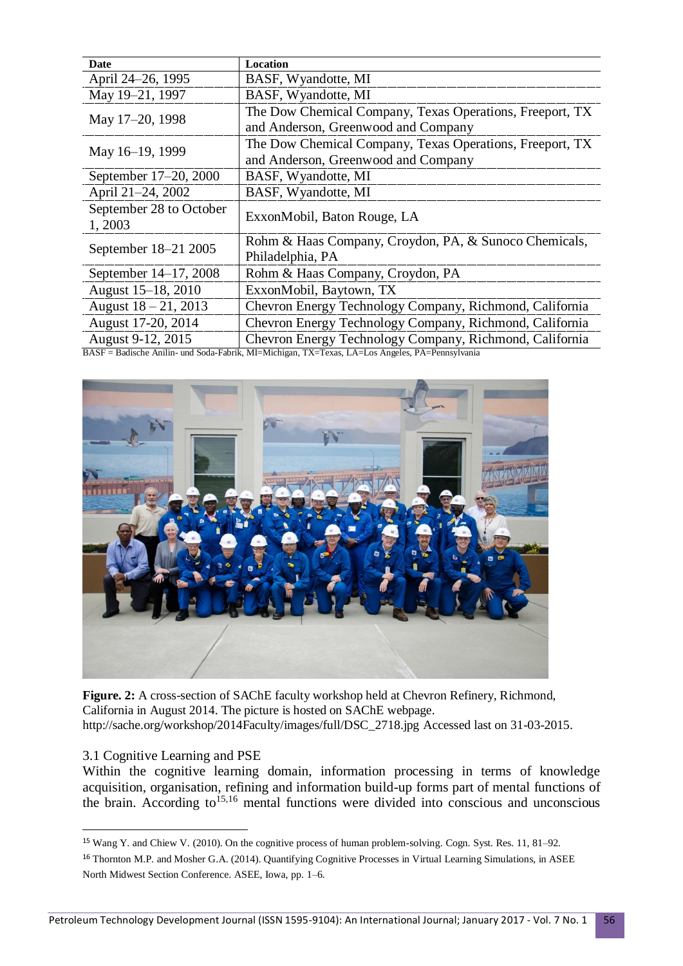| Date                              | <b>Location</b>                                                                                 |
|-----------------------------------|-------------------------------------------------------------------------------------------------|
| April 24-26, 1995                 | BASF, Wyandotte, MI                                                                             |
| May 19-21, 1997                   | BASF, Wyandotte, MI                                                                             |
| May 17-20, 1998                   | The Dow Chemical Company, Texas Operations, Freeport, TX<br>and Anderson, Greenwood and Company |
| May 16-19, 1999                   | The Dow Chemical Company, Texas Operations, Freeport, TX                                        |
|                                   | and Anderson, Greenwood and Company                                                             |
| September 17–20, 2000             | BASF, Wyandotte, MI                                                                             |
| April 21-24, 2002                 | BASF, Wyandotte, MI                                                                             |
| September 28 to October<br>1,2003 | ExxonMobil, Baton Rouge, LA                                                                     |
| September 18–21 2005              | Rohm & Haas Company, Croydon, PA, & Sunoco Chemicals,                                           |
|                                   | Philadelphia, PA                                                                                |
| September 14–17, 2008             | Rohm & Haas Company, Croydon, PA                                                                |
| August 15-18, 2010                | ExxonMobil, Baytown, TX                                                                         |
| August $18 - 21$ , 2013           | Chevron Energy Technology Company, Richmond, California                                         |
| August 17-20, 2014                | Chevron Energy Technology Company, Richmond, California                                         |
| August 9-12, 2015                 | Chevron Energy Technology Company, Richmond, California                                         |

BASF = Badische Anilin- und Soda-Fabrik, MI=Michigan, TX=Texas, LA=Los Angeles, PA=Pennsylvania



**Figure. 2:** A cross-section of SAChE faculty workshop held at Chevron Refinery, Richmond, California in August 2014. The picture is hosted on SAChE webpage. http://sache.org/workshop/2014Faculty/images/full/DSC\_2718.jpg Accessed last on 31-03-2015.

#### 3.1 Cognitive Learning and PSE

**.** 

Within the cognitive learning domain, information processing in terms of knowledge acquisition, organisation, refining and information build-up forms part of mental functions of the brain. According to<sup>15,16</sup> mental functions were divided into conscious and unconscious

<sup>15</sup> Wang Y. and Chiew V. (2010). On the cognitive process of human problem-solving. Cogn. Syst. Res. 11, 81–92.

<sup>&</sup>lt;sup>16</sup> Thornton M.P. and Mosher G.A. (2014). Quantifying Cognitive Processes in Virtual Learning Simulations, in ASEE North Midwest Section Conference. ASEE, Iowa, pp. 1–6.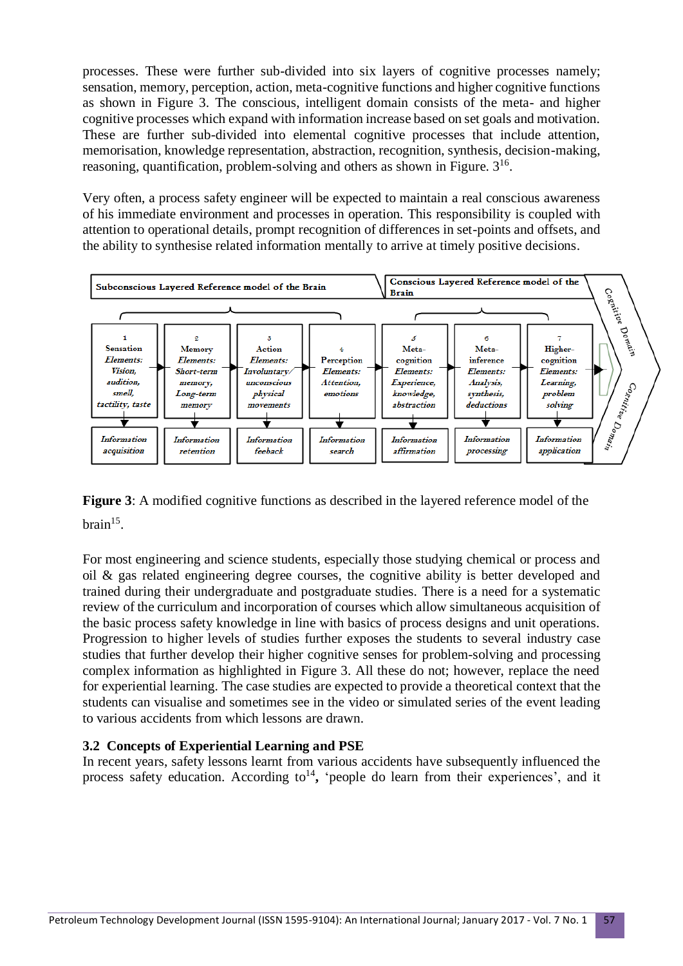processes. These were further sub-divided into six layers of cognitive processes namely; sensation, memory, perception, action, meta-cognitive functions and higher cognitive functions as shown in Figure 3. The conscious, intelligent domain consists of the meta- and higher cognitive processes which expand with information increase based on set goals and motivation. These are further sub-divided into elemental cognitive processes that include attention, memorisation, knowledge representation, abstraction, recognition, synthesis, decision-making, reasoning, quantification, problem-solving and others as shown in Figure.  $3^{16}$ .

Very often, a process safety engineer will be expected to maintain a real conscious awareness of his immediate environment and processes in operation. This responsibility is coupled with attention to operational details, prompt recognition of differences in set-points and offsets, and the ability to synthesise related information mentally to arrive at timely positive decisions.



**Figure 3**: A modified cognitive functions as described in the layered reference model of the  $brain<sup>15</sup>$ .

For most engineering and science students, especially those studying chemical or process and oil & gas related engineering degree courses, the cognitive ability is better developed and trained during their undergraduate and postgraduate studies. There is a need for a systematic review of the curriculum and incorporation of courses which allow simultaneous acquisition of the basic process safety knowledge in line with basics of process designs and unit operations. Progression to higher levels of studies further exposes the students to several industry case studies that further develop their higher cognitive senses for problem-solving and processing complex information as highlighted in Figure 3. All these do not; however, replace the need for experiential learning. The case studies are expected to provide a theoretical context that the students can visualise and sometimes see in the video or simulated series of the event leading to various accidents from which lessons are drawn.

## **3.2 Concepts of Experiential Learning and PSE**

In recent years, safety lessons learnt from various accidents have subsequently influenced the process safety education. According to<sup>14</sup>, 'people do learn from their experiences', and it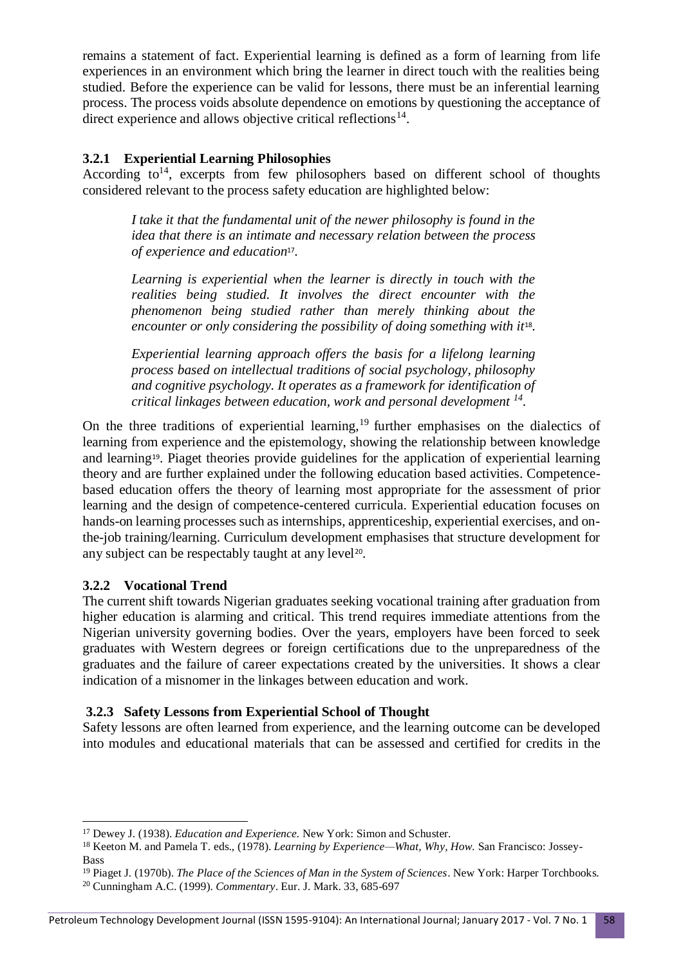remains a statement of fact. Experiential learning is defined as a form of learning from life experiences in an environment which bring the learner in direct touch with the realities being studied. Before the experience can be valid for lessons, there must be an inferential learning process. The process voids absolute dependence on emotions by questioning the acceptance of direct experience and allows objective critical reflections<sup>14</sup>.

## **3.2.1 Experiential Learning Philosophies**

According  $to^{14}$ , excerpts from few philosophers based on different school of thoughts considered relevant to the process safety education are highlighted below:

*I take it that the fundamental unit of the newer philosophy is found in the idea that there is an intimate and necessary relation between the process of experience and education*<sup>17</sup> *.*

*Learning is experiential when the learner is directly in touch with the realities being studied. It involves the direct encounter with the phenomenon being studied rather than merely thinking about the encounter or only considering the possibility of doing something with it*<sup>18</sup> *.*

*Experiential learning approach offers the basis for a lifelong learning process based on intellectual traditions of social psychology, philosophy and cognitive psychology. It operates as a framework for identification of critical linkages between education, work and personal development <sup>14</sup> .* 

On the three traditions of experiential learning,<sup>19</sup> further emphasises on the dialectics of learning from experience and the epistemology, showing the relationship between knowledge and learning19. Piaget theories provide guidelines for the application of experiential learning theory and are further explained under the following education based activities. Competencebased education offers the theory of learning most appropriate for the assessment of prior learning and the design of competence-centered curricula. Experiential education focuses on hands-on learning processes such as internships, apprenticeship, experiential exercises, and onthe-job training/learning. Curriculum development emphasises that structure development for any subject can be respectably taught at any level<sup>20</sup>.

#### **3.2.2 Vocational Trend**

**.** 

The current shift towards Nigerian graduates seeking vocational training after graduation from higher education is alarming and critical. This trend requires immediate attentions from the Nigerian university governing bodies. Over the years, employers have been forced to seek graduates with Western degrees or foreign certifications due to the unpreparedness of the graduates and the failure of career expectations created by the universities. It shows a clear indication of a misnomer in the linkages between education and work.

## **3.2.3 Safety Lessons from Experiential School of Thought**

Safety lessons are often learned from experience, and the learning outcome can be developed into modules and educational materials that can be assessed and certified for credits in the

<sup>17</sup> Dewey J. (1938). *Education and Experience.* New York: Simon and Schuster.

<sup>18</sup> Keeton M. and Pamela T. eds., (1978). *Learning by Experience—What, Why, How.* San Francisco: Jossey-Bass

<sup>19</sup> Piaget J. (1970b). *The Place of the Sciences of Man in the System of Sciences*. New York: Harper Torchbooks. <sup>20</sup> Cunningham A.C. (1999). *Commentary*. Eur. J. Mark. 33, 685-697

Petroleum Technology Development Journal (ISSN 1595-9104): An International Journal; January 2017 - Vol. 7 No. 1 58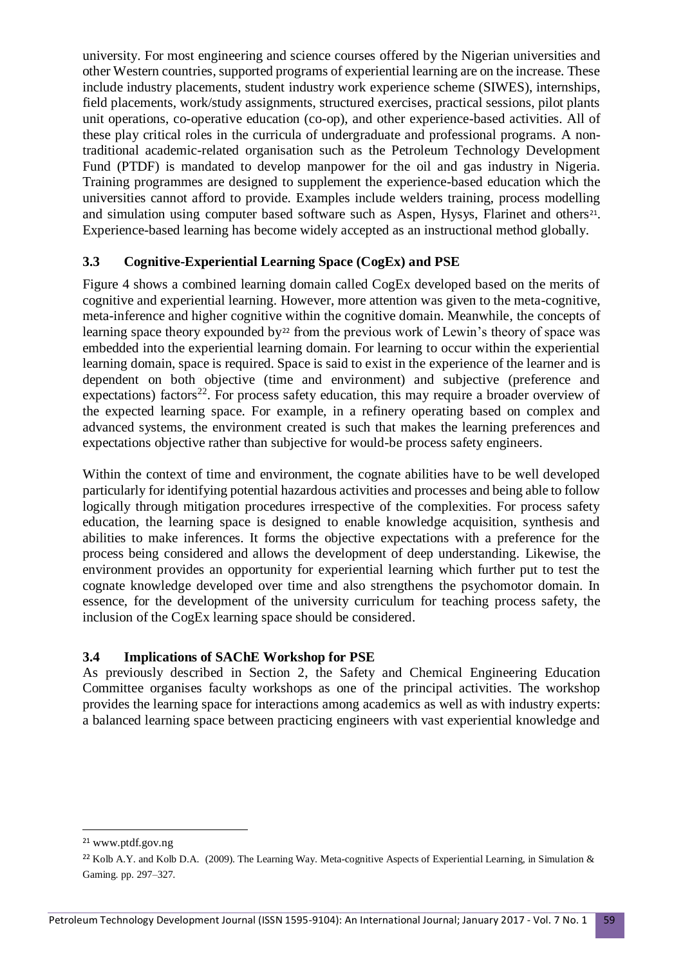university. For most engineering and science courses offered by the Nigerian universities and other Western countries, supported programs of experiential learning are on the increase. These include industry placements, student industry work experience scheme (SIWES), internships, field placements, work/study assignments, structured exercises, practical sessions, pilot plants unit operations, co-operative education (co-op), and other experience-based activities. All of these play critical roles in the curricula of undergraduate and professional programs. A nontraditional academic-related organisation such as the Petroleum Technology Development Fund (PTDF) is mandated to develop manpower for the oil and gas industry in Nigeria. Training programmes are designed to supplement the experience-based education which the universities cannot afford to provide. Examples include welders training, process modelling and simulation using computer based software such as Aspen, Hysys, Flarinet and others<sup>21</sup>. Experience-based learning has become widely accepted as an instructional method globally.

## **3.3 Cognitive-Experiential Learning Space (CogEx) and PSE**

Figure 4 shows a combined learning domain called CogEx developed based on the merits of cognitive and experiential learning. However, more attention was given to the meta-cognitive, meta-inference and higher cognitive within the cognitive domain. Meanwhile, the concepts of learning space theory expounded by<sup>22</sup> from the previous work of Lewin's theory of space was embedded into the experiential learning domain. For learning to occur within the experiential learning domain, space is required. Space is said to exist in the experience of the learner and is dependent on both objective (time and environment) and subjective (preference and expectations) factors<sup>22</sup>. For process safety education, this may require a broader overview of the expected learning space. For example, in a refinery operating based on complex and advanced systems, the environment created is such that makes the learning preferences and expectations objective rather than subjective for would-be process safety engineers.

Within the context of time and environment, the cognate abilities have to be well developed particularly for identifying potential hazardous activities and processes and being able to follow logically through mitigation procedures irrespective of the complexities. For process safety education, the learning space is designed to enable knowledge acquisition, synthesis and abilities to make inferences. It forms the objective expectations with a preference for the process being considered and allows the development of deep understanding. Likewise, the environment provides an opportunity for experiential learning which further put to test the cognate knowledge developed over time and also strengthens the psychomotor domain. In essence, for the development of the university curriculum for teaching process safety, the inclusion of the CogEx learning space should be considered.

#### **3.4 Implications of SAChE Workshop for PSE**

As previously described in Section 2, the Safety and Chemical Engineering Education Committee organises faculty workshops as one of the principal activities. The workshop provides the learning space for interactions among academics as well as with industry experts: a balanced learning space between practicing engineers with vast experiential knowledge and

**.** 

<sup>21</sup> www.ptdf.gov.ng

<sup>&</sup>lt;sup>22</sup> Kolb A.Y. and Kolb D.A. (2009). The Learning Way. Meta-cognitive Aspects of Experiential Learning, in Simulation  $\&$ Gaming. pp. 297–327.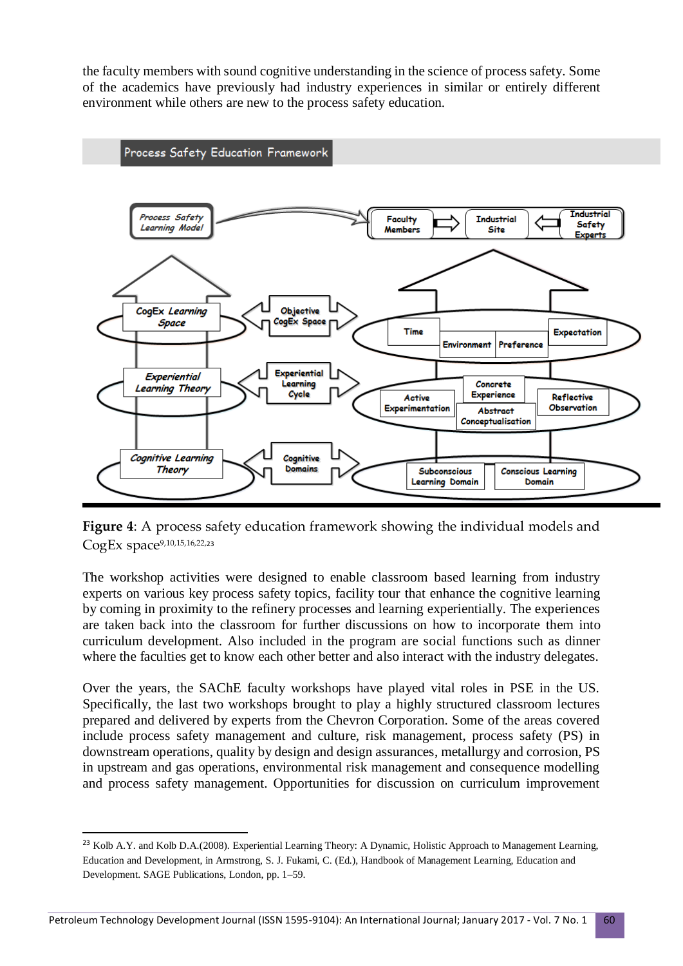the faculty members with sound cognitive understanding in the science of process safety. Some of the academics have previously had industry experiences in similar or entirely different environment while others are new to the process safety education.



**Figure 4**: A process safety education framework showing the individual models and CogEx space<sup>9,10,15,16,22,23</sup>

The workshop activities were designed to enable classroom based learning from industry experts on various key process safety topics, facility tour that enhance the cognitive learning by coming in proximity to the refinery processes and learning experientially. The experiences are taken back into the classroom for further discussions on how to incorporate them into curriculum development. Also included in the program are social functions such as dinner where the faculties get to know each other better and also interact with the industry delegates.

Over the years, the SAChE faculty workshops have played vital roles in PSE in the US. Specifically, the last two workshops brought to play a highly structured classroom lectures prepared and delivered by experts from the Chevron Corporation. Some of the areas covered include process safety management and culture, risk management, process safety (PS) in downstream operations, quality by design and design assurances, metallurgy and corrosion, PS in upstream and gas operations, environmental risk management and consequence modelling and process safety management. Opportunities for discussion on curriculum improvement

1

<sup>&</sup>lt;sup>23</sup> Kolb A.Y. and Kolb D.A.(2008). Experiential Learning Theory: A Dynamic, Holistic Approach to Management Learning, Education and Development, in Armstrong, S. J. Fukami, C. (Ed.), Handbook of Management Learning, Education and Development. SAGE Publications, London, pp. 1–59.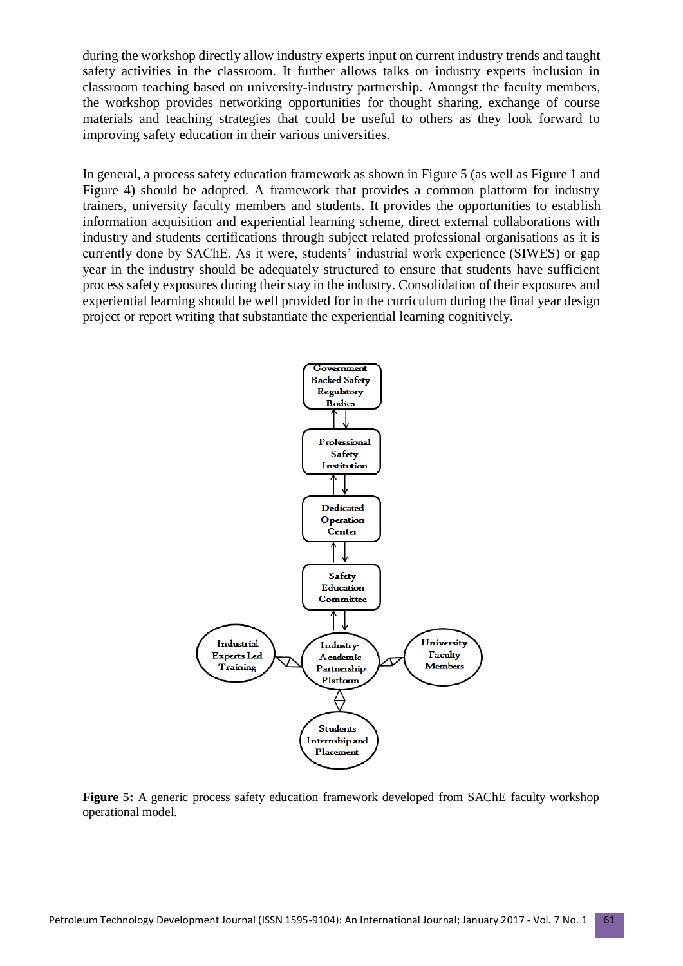during the workshop directly allow industry experts input on current industry trends and taught safety activities in the classroom. It further allows talks on industry experts inclusion in classroom teaching based on university-industry partnership. Amongst the faculty members, the workshop provides networking opportunities for thought sharing, exchange of course materials and teaching strategies that could be useful to others as they look forward to improving safety education in their various universities.

In general, a process safety education framework as shown in Figure 5 (as well as Figure 1 and Figure 4) should be adopted. A framework that provides a common platform for industry trainers, university faculty members and students. It provides the opportunities to establish information acquisition and experiential learning scheme, direct external collaborations with industry and students certifications through subject related professional organisations as it is currently done by SAChE. As it were, students' industrial work experience (SIWES) or gap year in the industry should be adequately structured to ensure that students have sufficient process safety exposures during their stay in the industry. Consolidation of their exposures and experiential learning should be well provided for in the curriculum during the final year design project or report writing that substantiate the experiential learning cognitively.



**Figure 5:** A generic process safety education framework developed from SAChE faculty workshop operational model.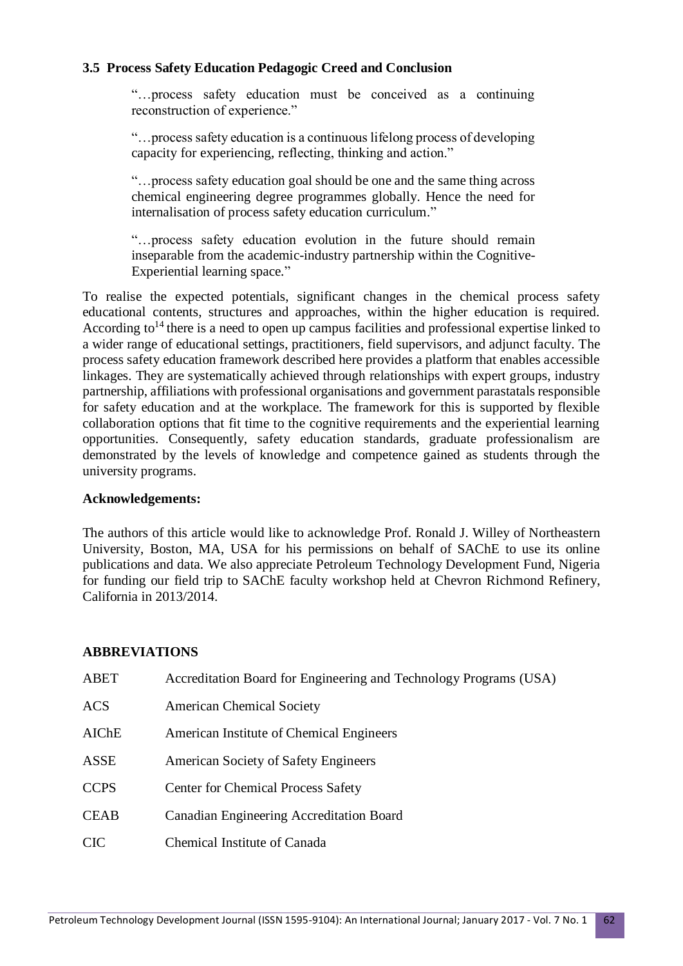### **3.5 Process Safety Education Pedagogic Creed and Conclusion**

"…process safety education must be conceived as a continuing reconstruction of experience."

"…process safety education is a continuous lifelong process of developing capacity for experiencing, reflecting, thinking and action."

"…process safety education goal should be one and the same thing across chemical engineering degree programmes globally. Hence the need for internalisation of process safety education curriculum."

"…process safety education evolution in the future should remain inseparable from the academic-industry partnership within the Cognitive-Experiential learning space."

To realise the expected potentials, significant changes in the chemical process safety educational contents, structures and approaches, within the higher education is required. According to<sup>14</sup> there is a need to open up campus facilities and professional expertise linked to a wider range of educational settings, practitioners, field supervisors, and adjunct faculty. The process safety education framework described here provides a platform that enables accessible linkages. They are systematically achieved through relationships with expert groups, industry partnership, affiliations with professional organisations and government parastatals responsible for safety education and at the workplace. The framework for this is supported by flexible collaboration options that fit time to the cognitive requirements and the experiential learning opportunities. Consequently, safety education standards, graduate professionalism are demonstrated by the levels of knowledge and competence gained as students through the university programs.

#### **Acknowledgements:**

The authors of this article would like to acknowledge Prof. Ronald J. Willey of Northeastern University, Boston, MA, USA for his permissions on behalf of SAChE to use its online publications and data. We also appreciate Petroleum Technology Development Fund, Nigeria for funding our field trip to SAChE faculty workshop held at Chevron Richmond Refinery, California in 2013/2014.

#### **ABBREVIATIONS**

| ABET        | Accreditation Board for Engineering and Technology Programs (USA) |
|-------------|-------------------------------------------------------------------|
| <b>ACS</b>  | <b>American Chemical Society</b>                                  |
| AIChE       | American Institute of Chemical Engineers                          |
| ASSE        | American Society of Safety Engineers                              |
| <b>CCPS</b> | <b>Center for Chemical Process Safety</b>                         |
| <b>CEAB</b> | <b>Canadian Engineering Accreditation Board</b>                   |
| <b>CIC</b>  | Chemical Institute of Canada                                      |